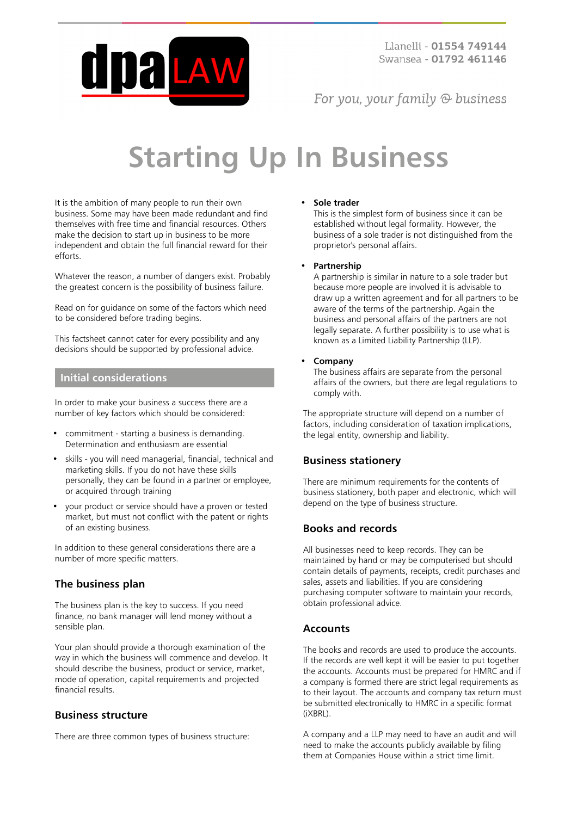

For you, your family  $\odot$  business

# **Starting Up In Business**

It is the ambition of many people to run their own business. Some may have been made redundant and find themselves with free time and financial resources. Others make the decision to start up in business to be more independent and obtain the full financial reward for their efforts.

Whatever the reason, a number of dangers exist. Probably the greatest concern is the possibility of business failure.

Read on for guidance on some of the factors which need to be considered before trading begins.

This factsheet cannot cater for every possibility and any decisions should be supported by professional advice.

## **Initial considerations**

In order to make your business a success there are a number of key factors which should be considered:

- commitment starting a business is demanding. Determination and enthusiasm are essential
- skills you will need managerial, financial, technical and marketing skills. If you do not have these skills personally, they can be found in a partner or employee, or acquired through training
- your product or service should have a proven or tested market, but must not conflict with the patent or rights of an existing business.

In addition to these general considerations there are a number of more specific matters.

## **The business plan**

The business plan is the key to success. If you need finance, no bank manager will lend money without a sensible plan.

Your plan should provide a thorough examination of the way in which the business will commence and develop. It should describe the business, product or service, market, mode of operation, capital requirements and projected financial results.

## **Business structure**

There are three common types of business structure:

#### • **Sole trader**

This is the simplest form of business since it can be established without legal formality. However, the business of a sole trader is not distinguished from the proprietor's personal affairs.

#### • **Partnership**

A partnership is similar in nature to a sole trader but because more people are involved it is advisable to draw up a written agreement and for all partners to be aware of the terms of the partnership. Again the business and personal affairs of the partners are not legally separate. A further possibility is to use what is known as a Limited Liability Partnership (LLP).

#### • **Company**

The business affairs are separate from the personal affairs of the owners, but there are legal regulations to comply with.

The appropriate structure will depend on a number of factors, including consideration of taxation implications, the legal entity, ownership and liability.

## **Business stationery**

There are minimum requirements for the contents of business stationery, both paper and electronic, which will depend on the type of business structure.

## **Books and records**

All businesses need to keep records. They can be maintained by hand or may be computerised but should contain details of payments, receipts, credit purchases and sales, assets and liabilities. If you are considering purchasing computer software to maintain your records, obtain professional advice.

## **Accounts**

The books and records are used to produce the accounts. If the records are well kept it will be easier to put together the accounts. Accounts must be prepared for HMRC and if a company is formed there are strict legal requirements as to their layout. The accounts and company tax return must be submitted electronically to HMRC in a specific format (iXBRL).

A company and a LLP may need to have an audit and will need to make the accounts publicly available by filing them at Companies House within a strict time limit.